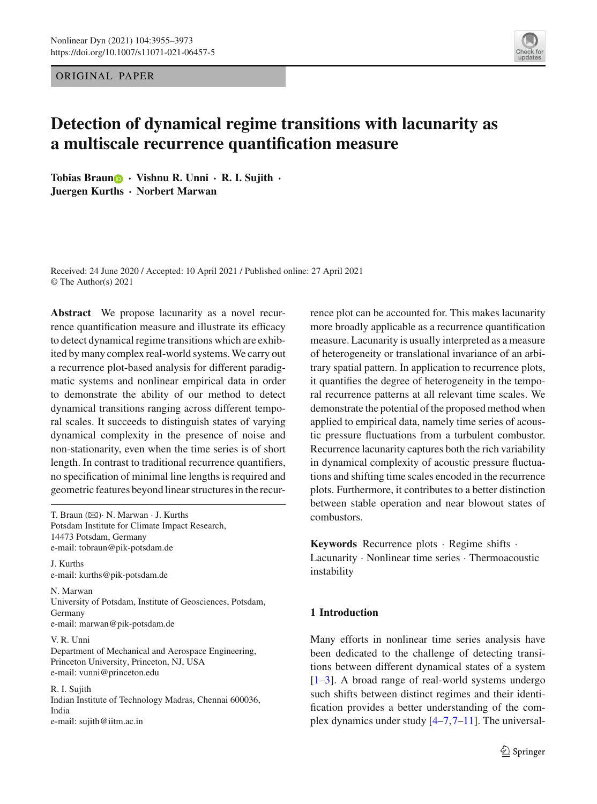ORIGINAL PAPER

# **Detection of dynamical regime transitions with lacunarity as a multiscale recurrence quantification measure**

**Tobias Brau[n](http://orcid.org/0000-0002-3095-8960)** · **Vishnu R. Unni** · **R. I. Sujith** · **Juergen Kurths** · **Norbert Marwan**

Received: 24 June 2020 / Accepted: 10 April 2021 / Published online: 27 April 2021 © The Author(s) 2021

**Abstract** We propose lacunarity as a novel recurrence quantification measure and illustrate its efficacy to detect dynamical regime transitions which are exhibited by many complex real-world systems. We carry out a recurrence plot-based analysis for different paradigmatic systems and nonlinear empirical data in order to demonstrate the ability of our method to detect dynamical transitions ranging across different temporal scales. It succeeds to distinguish states of varying dynamical complexity in the presence of noise and non-stationarity, even when the time series is of short length. In contrast to traditional recurrence quantifiers, no specification of minimal line lengths is required and geometric features beyond linear structures in the recur-

T. Braun  $(\boxtimes)$ · N. Marwan · J. Kurths Potsdam Institute for Climate Impact Research, 14473 Potsdam, Germany e-mail: tobraun@pik-potsdam.de

J. Kurths e-mail: kurths@pik-potsdam.de

N. Marwan University of Potsdam, Institute of Geosciences, Potsdam, Germany e-mail: marwan@pik-potsdam.de

V. R. Unni Department of Mechanical and Aerospace Engineering, Princeton University, Princeton, NJ, USA e-mail: vunni@princeton.edu

R. I. Sujith Indian Institute of Technology Madras, Chennai 600036, India e-mail: sujith@iitm.ac.in

rence plot can be accounted for. This makes lacunarity more broadly applicable as a recurrence quantification measure. Lacunarity is usually interpreted as a measure of heterogeneity or translational invariance of an arbitrary spatial pattern. In application to recurrence plots, it quantifies the degree of heterogeneity in the temporal recurrence patterns at all relevant time scales. We demonstrate the potential of the proposed method when applied to empirical data, namely time series of acoustic pressure fluctuations from a turbulent combustor. Recurrence lacunarity captures both the rich variability in dynamical complexity of acoustic pressure fluctuations and shifting time scales encoded in the recurrence plots. Furthermore, it contributes to a better distinction between stable operation and near blowout states of combustors.

**Keywords** Recurrence plots · Regime shifts · Lacunarity · Nonlinear time series · Thermoacoustic instability

# **1 Introduction**

Many efforts in nonlinear time series analysis have been dedicated to the challenge of detecting transitions between different dynamical states of a system [\[1](#page-16-0)[–3\]](#page-16-1). A broad range of real-world systems undergo such shifts between distinct regimes and their identification provides a better understanding of the complex dynamics under study [\[4](#page-16-2)[–7](#page-16-3),[7](#page-16-3)[–11\]](#page-16-4). The universal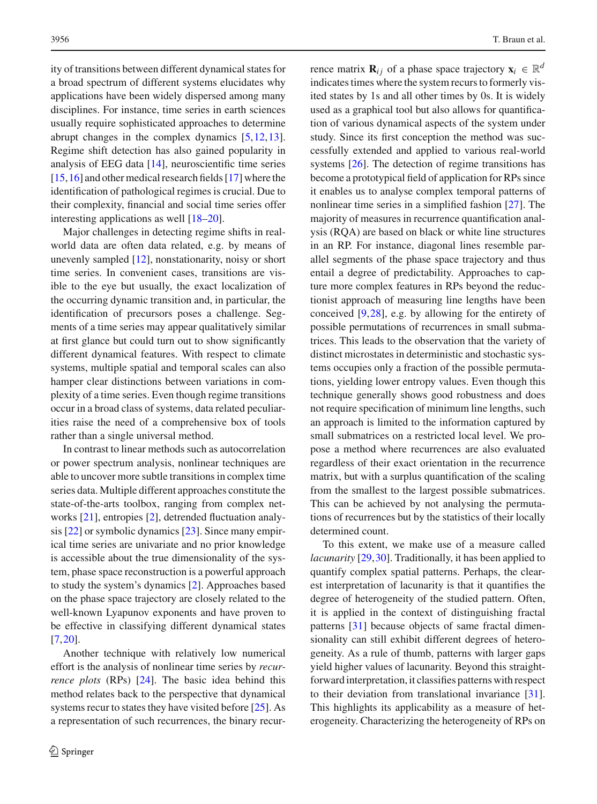ity of transitions between different dynamical states for a broad spectrum of different systems elucidates why applications have been widely dispersed among many disciplines. For instance, time series in earth sciences usually require sophisticated approaches to determine abrupt changes in the complex dynamics [\[5,](#page-16-5)[12](#page-16-6)[,13](#page-16-7)]. Regime shift detection has also gained popularity in analysis of EEG data [\[14](#page-16-8)], neuroscientific time series [\[15](#page-16-9)[,16\]](#page-16-10) and other medical research fields [\[17](#page-16-11)] where the identification of pathological regimes is crucial. Due to their complexity, financial and social time series offer interesting applications as well [\[18](#page-16-12)[–20](#page-16-13)].

Major challenges in detecting regime shifts in realworld data are often data related, e.g. by means of unevenly sampled [\[12](#page-16-6)], nonstationarity, noisy or short time series. In convenient cases, transitions are visible to the eye but usually, the exact localization of the occurring dynamic transition and, in particular, the identification of precursors poses a challenge. Segments of a time series may appear qualitatively similar at first glance but could turn out to show significantly different dynamical features. With respect to climate systems, multiple spatial and temporal scales can also hamper clear distinctions between variations in complexity of a time series. Even though regime transitions occur in a broad class of systems, data related peculiarities raise the need of a comprehensive box of tools rather than a single universal method.

In contrast to linear methods such as autocorrelation or power spectrum analysis, nonlinear techniques are able to uncover more subtle transitions in complex time series data. Multiple different approaches constitute the state-of-the-arts toolbox, ranging from complex networks [\[21](#page-16-14)], entropies [\[2\]](#page-16-15), detrended fluctuation analysis [\[22](#page-16-16)] or symbolic dynamics [\[23\]](#page-16-17). Since many empirical time series are univariate and no prior knowledge is accessible about the true dimensionality of the system, phase space reconstruction is a powerful approach to study the system's dynamics [\[2\]](#page-16-15). Approaches based on the phase space trajectory are closely related to the well-known Lyapunov exponents and have proven to be effective in classifying different dynamical states [\[7](#page-16-3)[,20](#page-16-13)].

Another technique with relatively low numerical effort is the analysis of nonlinear time series by *recurrence plots* (RPs) [\[24](#page-16-18)]. The basic idea behind this method relates back to the perspective that dynamical systems recur to states they have visited before [\[25](#page-16-19)]. As a representation of such recurrences, the binary recur-

rence matrix **R**<sub>*i*</sub> of a phase space trajectory  $\mathbf{x}_i \in \mathbb{R}^d$ indicates times where the system recurs to formerly visited states by 1s and all other times by 0s. It is widely used as a graphical tool but also allows for quantification of various dynamical aspects of the system under study. Since its first conception the method was successfully extended and applied to various real-world systems [\[26\]](#page-16-20). The detection of regime transitions has become a prototypical field of application for RPs since it enables us to analyse complex temporal patterns of nonlinear time series in a simplified fashion [\[27](#page-16-21)]. The majority of measures in recurrence quantification analysis (RQA) are based on black or white line structures in an RP. For instance, diagonal lines resemble parallel segments of the phase space trajectory and thus entail a degree of predictability. Approaches to capture more complex features in RPs beyond the reductionist approach of measuring line lengths have been conceived [\[9](#page-16-22)[,28](#page-17-0)], e.g. by allowing for the entirety of possible permutations of recurrences in small submatrices. This leads to the observation that the variety of distinct microstates in deterministic and stochastic systems occupies only a fraction of the possible permutations, yielding lower entropy values. Even though this technique generally shows good robustness and does not require specification of minimum line lengths, such an approach is limited to the information captured by small submatrices on a restricted local level. We propose a method where recurrences are also evaluated regardless of their exact orientation in the recurrence matrix, but with a surplus quantification of the scaling from the smallest to the largest possible submatrices. This can be achieved by not analysing the permutations of recurrences but by the statistics of their locally determined count.

To this extent, we make use of a measure called *lacunarity* [\[29](#page-17-1)[,30](#page-17-2)]. Traditionally, it has been applied to quantify complex spatial patterns. Perhaps, the clearest interpretation of lacunarity is that it quantifies the degree of heterogeneity of the studied pattern. Often, it is applied in the context of distinguishing fractal patterns [\[31](#page-17-3)] because objects of same fractal dimensionality can still exhibit different degrees of heterogeneity. As a rule of thumb, patterns with larger gaps yield higher values of lacunarity. Beyond this straightforward interpretation, it classifies patterns with respect to their deviation from translational invariance [\[31](#page-17-3)]. This highlights its applicability as a measure of heterogeneity. Characterizing the heterogeneity of RPs on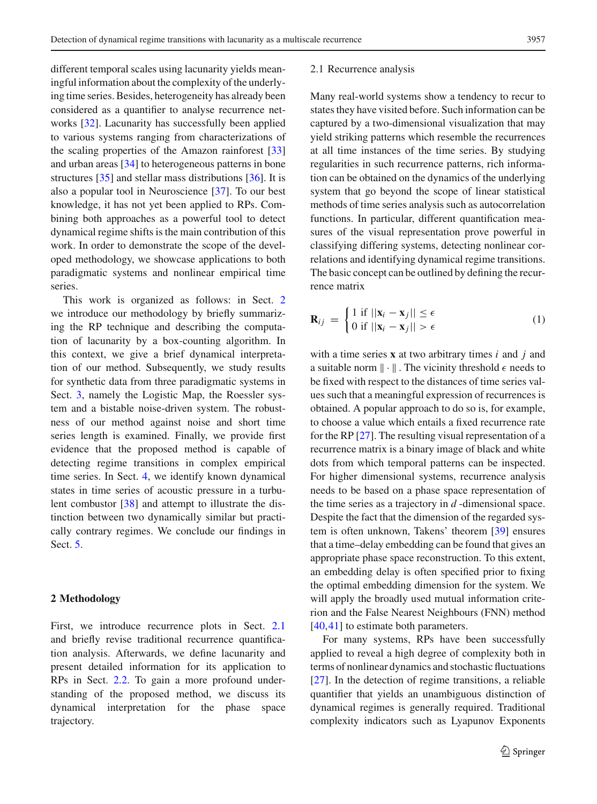different temporal scales using lacunarity yields meaningful information about the complexity of the underlying time series. Besides, heterogeneity has already been considered as a quantifier to analyse recurrence networks [\[32](#page-17-4)]. Lacunarity has successfully been applied to various systems ranging from characterizations of the scaling properties of the Amazon rainforest [\[33\]](#page-17-5) and urban areas [\[34\]](#page-17-6) to heterogeneous patterns in bone structures [\[35](#page-17-7)] and stellar mass distributions [\[36](#page-17-8)]. It is also a popular tool in Neuroscience [\[37](#page-17-9)]. To our best knowledge, it has not yet been applied to RPs. Combining both approaches as a powerful tool to detect dynamical regime shifts is the main contribution of this work. In order to demonstrate the scope of the developed methodology, we showcase applications to both paradigmatic systems and nonlinear empirical time series.

This work is organized as follows: in Sect. [2](#page-2-0) we introduce our methodology by briefly summarizing the RP technique and describing the computation of lacunarity by a box-counting algorithm. In this context, we give a brief dynamical interpretation of our method. Subsequently, we study results for synthetic data from three paradigmatic systems in Sect. [3,](#page-6-0) namely the Logistic Map, the Roessler system and a bistable noise-driven system. The robustness of our method against noise and short time series length is examined. Finally, we provide first evidence that the proposed method is capable of detecting regime transitions in complex empirical time series. In Sect. [4,](#page-11-0) we identify known dynamical states in time series of acoustic pressure in a turbulent combustor [\[38\]](#page-17-10) and attempt to illustrate the distinction between two dynamically similar but practically contrary regimes. We conclude our findings in Sect. [5.](#page-15-0)

#### <span id="page-2-0"></span>**2 Methodology**

First, we introduce recurrence plots in Sect. [2.1](#page-2-1) and briefly revise traditional recurrence quantification analysis. Afterwards, we define lacunarity and present detailed information for its application to RPs in Sect. [2.2.](#page-3-0) To gain a more profound understanding of the proposed method, we discuss its dynamical interpretation for the phase space trajectory.

#### <span id="page-2-1"></span>2.1 Recurrence analysis

Many real-world systems show a tendency to recur to states they have visited before. Such information can be captured by a two-dimensional visualization that may yield striking patterns which resemble the recurrences at all time instances of the time series. By studying regularities in such recurrence patterns, rich information can be obtained on the dynamics of the underlying system that go beyond the scope of linear statistical methods of time series analysis such as autocorrelation functions. In particular, different quantification measures of the visual representation prove powerful in classifying differing systems, detecting nonlinear correlations and identifying dynamical regime transitions. The basic concept can be outlined by defining the recurrence matrix

$$
\mathbf{R}_{ij} = \begin{cases} 1 \text{ if } ||\mathbf{x}_i - \mathbf{x}_j|| \le \epsilon \\ 0 \text{ if } ||\mathbf{x}_i - \mathbf{x}_j|| > \epsilon \end{cases}
$$
(1)

with a time series **x** at two arbitrary times *i* and *j* and a suitable norm  $\|\cdot\|$ . The vicinity threshold  $\epsilon$  needs to be fixed with respect to the distances of time series values such that a meaningful expression of recurrences is obtained. A popular approach to do so is, for example, to choose a value which entails a fixed recurrence rate for the RP [\[27\]](#page-16-21). The resulting visual representation of a recurrence matrix is a binary image of black and white dots from which temporal patterns can be inspected. For higher dimensional systems, recurrence analysis needs to be based on a phase space representation of the time series as a trajectory in *d* -dimensional space. Despite the fact that the dimension of the regarded system is often unknown, Takens' theorem [\[39](#page-17-11)] ensures that a time–delay embedding can be found that gives an appropriate phase space reconstruction. To this extent, an embedding delay is often specified prior to fixing the optimal embedding dimension for the system. We will apply the broadly used mutual information criterion and the False Nearest Neighbours (FNN) method  $[40, 41]$  $[40, 41]$  to estimate both parameters.

For many systems, RPs have been successfully applied to reveal a high degree of complexity both in terms of nonlinear dynamics and stochastic fluctuations [\[27\]](#page-16-21). In the detection of regime transitions, a reliable quantifier that yields an unambiguous distinction of dynamical regimes is generally required. Traditional complexity indicators such as Lyapunov Exponents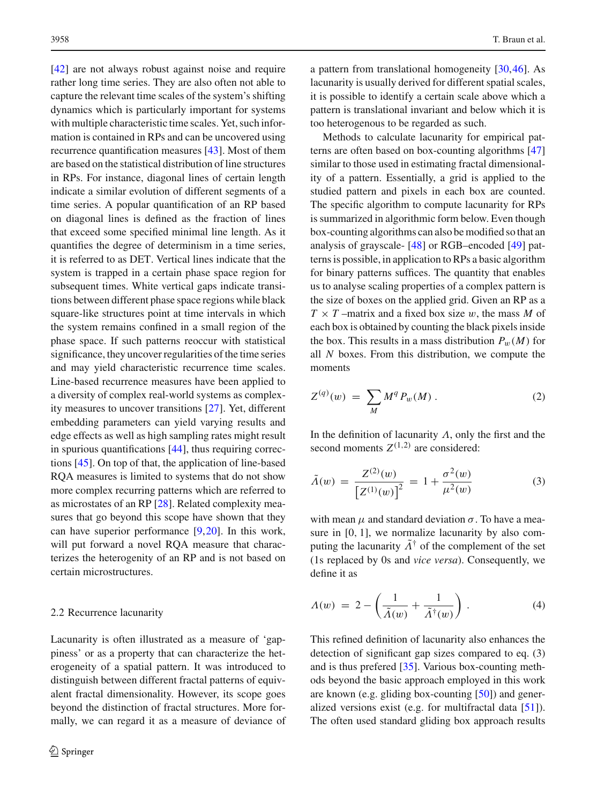[\[42\]](#page-17-14) are not always robust against noise and require rather long time series. They are also often not able to capture the relevant time scales of the system's shifting dynamics which is particularly important for systems with multiple characteristic time scales. Yet, such information is contained in RPs and can be uncovered using recurrence quantification measures [\[43\]](#page-17-15). Most of them are based on the statistical distribution of line structures in RPs. For instance, diagonal lines of certain length indicate a similar evolution of different segments of a time series. A popular quantification of an RP based on diagonal lines is defined as the fraction of lines that exceed some specified minimal line length. As it quantifies the degree of determinism in a time series, it is referred to as DET. Vertical lines indicate that the system is trapped in a certain phase space region for subsequent times. White vertical gaps indicate transitions between different phase space regions while black square-like structures point at time intervals in which the system remains confined in a small region of the phase space. If such patterns reoccur with statistical significance, they uncover regularities of the time series and may yield characteristic recurrence time scales. Line-based recurrence measures have been applied to a diversity of complex real-world systems as complexity measures to uncover transitions [\[27](#page-16-21)]. Yet, different embedding parameters can yield varying results and edge effects as well as high sampling rates might result in spurious quantifications [\[44](#page-17-16)], thus requiring corrections [\[45](#page-17-17)]. On top of that, the application of line-based RQA measures is limited to systems that do not show more complex recurring patterns which are referred to as microstates of an RP [\[28](#page-17-0)]. Related complexity measures that go beyond this scope have shown that they can have superior performance [\[9,](#page-16-22)[20\]](#page-16-13). In this work, will put forward a novel RQA measure that characterizes the heterogenity of an RP and is not based on certain microstructures.

#### <span id="page-3-0"></span>2.2 Recurrence lacunarity

Lacunarity is often illustrated as a measure of 'gappiness' or as a property that can characterize the heterogeneity of a spatial pattern. It was introduced to distinguish between different fractal patterns of equivalent fractal dimensionality. However, its scope goes beyond the distinction of fractal structures. More formally, we can regard it as a measure of deviance of a pattern from translational homogeneity [\[30,](#page-17-2)[46\]](#page-17-18). As lacunarity is usually derived for different spatial scales, it is possible to identify a certain scale above which a pattern is translational invariant and below which it is too heterogenous to be regarded as such.

Methods to calculate lacunarity for empirical patterns are often based on box-counting algorithms [\[47\]](#page-17-19) similar to those used in estimating fractal dimensionality of a pattern. Essentially, a grid is applied to the studied pattern and pixels in each box are counted. The specific algorithm to compute lacunarity for RPs is summarized in algorithmic form below. Even though box-counting algorithms can also be modified so that an analysis of grayscale- [\[48](#page-17-20)] or RGB–encoded [\[49\]](#page-17-21) patterns is possible, in application to RPs a basic algorithm for binary patterns suffices. The quantity that enables us to analyse scaling properties of a complex pattern is the size of boxes on the applied grid. Given an RP as a  $T \times T$  –matrix and a fixed box size w, the mass M of each box is obtained by counting the black pixels inside the box. This results in a mass distribution  $P_w(M)$  for all *N* boxes. From this distribution, we compute the moments

$$
Z^{(q)}(w) = \sum_{M} M^{q} P_{w}(M) . \qquad (2)
$$

In the definition of lacunarity  $\Lambda$ , only the first and the second moments  $Z^{(1,2)}$  are considered:

$$
\tilde{\Lambda}(w) = \frac{Z^{(2)}(w)}{\left[Z^{(1)}(w)\right]^2} = 1 + \frac{\sigma^2(w)}{\mu^2(w)}\tag{3}
$$

with mean  $\mu$  and standard deviation  $\sigma$ . To have a measure in [0, 1], we normalize lacunarity by also computing the lacunarity  $\tilde{\Lambda}^{\dagger}$  of the complement of the set (1s replaced by 0s and *vice versa*). Consequently, we define it as

<span id="page-3-1"></span>
$$
\Lambda(w) = 2 - \left(\frac{1}{\tilde{\Lambda}(w)} + \frac{1}{\tilde{\Lambda}^{\dagger}(w)}\right). \tag{4}
$$

This refined definition of lacunarity also enhances the detection of significant gap sizes compared to eq. (3) and is thus prefered [\[35](#page-17-7)]. Various box-counting methods beyond the basic approach employed in this work are known (e.g. gliding box-counting [\[50\]](#page-17-22)) and generalized versions exist (e.g. for multifractal data [\[51\]](#page-17-23)). The often used standard gliding box approach results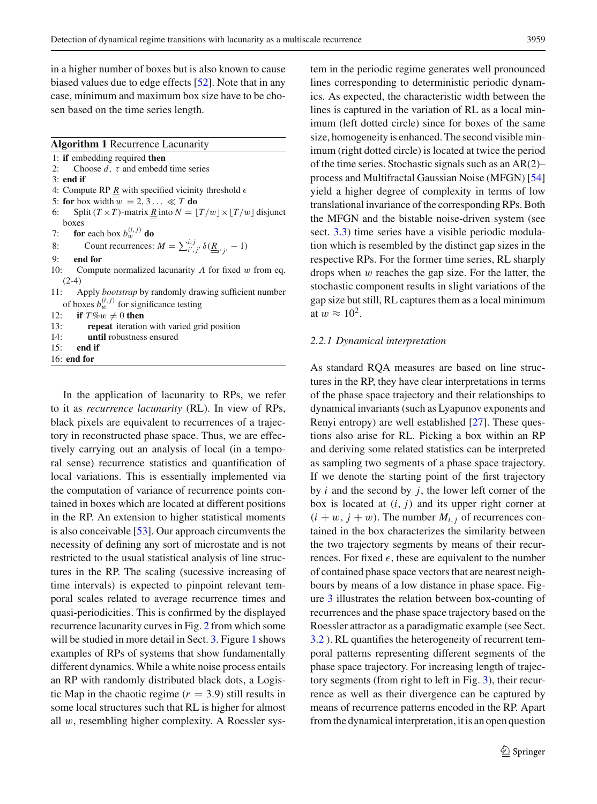in a higher number of boxes but is also known to cause biased values due to edge effects [\[52\]](#page-17-24). Note that in any case, minimum and maximum box size have to be chosen based on the time series length.

#### **Algorithm 1** Recurrence Lacunarity

- 1: **if** embedding required **then**
- 2: Choose  $d$ ,  $\tau$  and embedd time series
- 3: **end if**
- 4: Compute RP  $\underline{R}$  with specified vicinity threshold  $\epsilon$
- 5: **for** box width  $\overline{w} = 2, 3... \ll T$  **do**
- 6: Split  $(T \times T)$ -matrix <u>*R*</u> into  $N = \lfloor T/w \rfloor \times \lfloor T/w \rfloor$  disjunct boxes
- 7: **for** each box  $b_w^{(i,j)}$  **do**
- 8: Count recurrences:  $M = \sum_{i',j'}^{i,j} \delta(\underline{\underline{R}}_{i'j'} 1)$
- 9: **end for**
- 10: Compute normalized lacunarity  $\Lambda$  for fixed w from eq.  $(2-4)$
- 11: Apply *bootstrap* by randomly drawing sufficient number of boxes  $b_w^{(i,j)}$  for significance testing
- 12: **if**  $T\%w \neq 0$  then

| 13: | <b>repeat</b> iteration with varied grid position |  |  |  |  |
|-----|---------------------------------------------------|--|--|--|--|
|-----|---------------------------------------------------|--|--|--|--|

- 14: **until** robustness ensured
- 15: **end if** 16: **end for**

In the application of lacunarity to RPs, we refer to it as *recurrence lacunarity* (RL). In view of RPs, black pixels are equivalent to recurrences of a trajectory in reconstructed phase space. Thus, we are effectively carrying out an analysis of local (in a temporal sense) recurrence statistics and quantification of local variations. This is essentially implemented via the computation of variance of recurrence points contained in boxes which are located at different positions in the RP. An extension to higher statistical moments is also conceivable [\[53](#page-17-25)]. Our approach circumvents the necessity of defining any sort of microstate and is not restricted to the usual statistical analysis of line structures in the RP. The scaling (sucessive increasing of time intervals) is expected to pinpoint relevant temporal scales related to average recurrence times and quasi-periodicities. This is confirmed by the displayed recurrence lacunarity curves in Fig. [2](#page-6-1) from which some will be studied in more detail in Sect. [3.](#page-6-0) Figure [1](#page-5-0) shows examples of RPs of systems that show fundamentally different dynamics. While a white noise process entails an RP with randomly distributed black dots, a Logistic Map in the chaotic regime  $(r = 3.9)$  still results in some local structures such that RL is higher for almost all  $w$ , resembling higher complexity. A Roessler system in the periodic regime generates well pronounced lines corresponding to deterministic periodic dynamics. As expected, the characteristic width between the lines is captured in the variation of RL as a local minimum (left dotted circle) since for boxes of the same size, homogeneity is enhanced. The second visible minimum (right dotted circle) is located at twice the period of the time series. Stochastic signals such as an AR(2)– process and Multifractal Gaussian Noise (MFGN) [\[54\]](#page-17-26) yield a higher degree of complexity in terms of low translational invariance of the corresponding RPs. Both the MFGN and the bistable noise-driven system (see sect. [3.3\)](#page-10-0) time series have a visible periodic modulation which is resembled by the distinct gap sizes in the respective RPs. For the former time series, RL sharply drops when w reaches the gap size. For the latter, the stochastic component results in slight variations of the gap size but still, RL captures them as a local minimum at  $w \approx 10^2$ .

#### *2.2.1 Dynamical interpretation*

As standard RQA measures are based on line structures in the RP, they have clear interpretations in terms of the phase space trajectory and their relationships to dynamical invariants (such as Lyapunov exponents and Renyi entropy) are well established [\[27](#page-16-21)]. These questions also arise for RL. Picking a box within an RP and deriving some related statistics can be interpreted as sampling two segments of a phase space trajectory. If we denote the starting point of the first trajectory by *i* and the second by *j*, the lower left corner of the box is located at  $(i, j)$  and its upper right corner at  $(i + w, j + w)$ . The number  $M_{i,j}$  of recurrences contained in the box characterizes the similarity between the two trajectory segments by means of their recurrences. For fixed  $\epsilon$ , these are equivalent to the number of contained phase space vectors that are nearest neighbours by means of a low distance in phase space. Figure [3](#page-8-0) illustrates the relation between box-counting of recurrences and the phase space trajectory based on the Roessler attractor as a paradigmatic example (see Sect. [3.2](#page-9-0) ). RL quantifies the heterogeneity of recurrent temporal patterns representing different segments of the phase space trajectory. For increasing length of trajectory segments (from right to left in Fig. [3\)](#page-8-0), their recurrence as well as their divergence can be captured by means of recurrence patterns encoded in the RP. Apart from the dynamical interpretation, it is an open question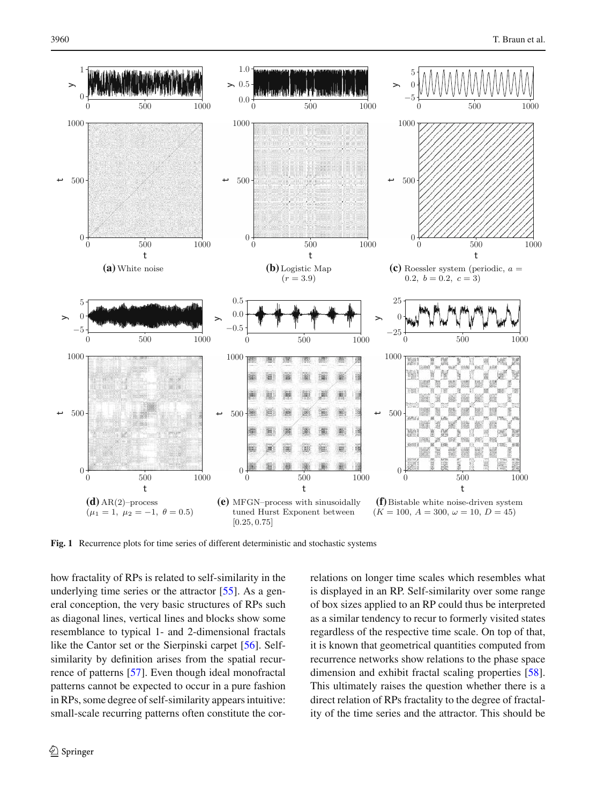

<span id="page-5-0"></span>**Fig. 1** Recurrence plots for time series of different deterministic and stochastic systems

how fractality of RPs is related to self-similarity in the underlying time series or the attractor [\[55](#page-17-27)]. As a general conception, the very basic structures of RPs such as diagonal lines, vertical lines and blocks show some resemblance to typical 1- and 2-dimensional fractals like the Cantor set or the Sierpinski carpet [\[56\]](#page-17-28). Selfsimilarity by definition arises from the spatial recurrence of patterns [\[57\]](#page-17-29). Even though ideal monofractal patterns cannot be expected to occur in a pure fashion in RPs, some degree of self-similarity appears intuitive: small-scale recurring patterns often constitute the correlations on longer time scales which resembles what is displayed in an RP. Self-similarity over some range of box sizes applied to an RP could thus be interpreted as a similar tendency to recur to formerly visited states regardless of the respective time scale. On top of that, it is known that geometrical quantities computed from recurrence networks show relations to the phase space dimension and exhibit fractal scaling properties [\[58](#page-17-30)]. This ultimately raises the question whether there is a direct relation of RPs fractality to the degree of fractality of the time series and the attractor. This should be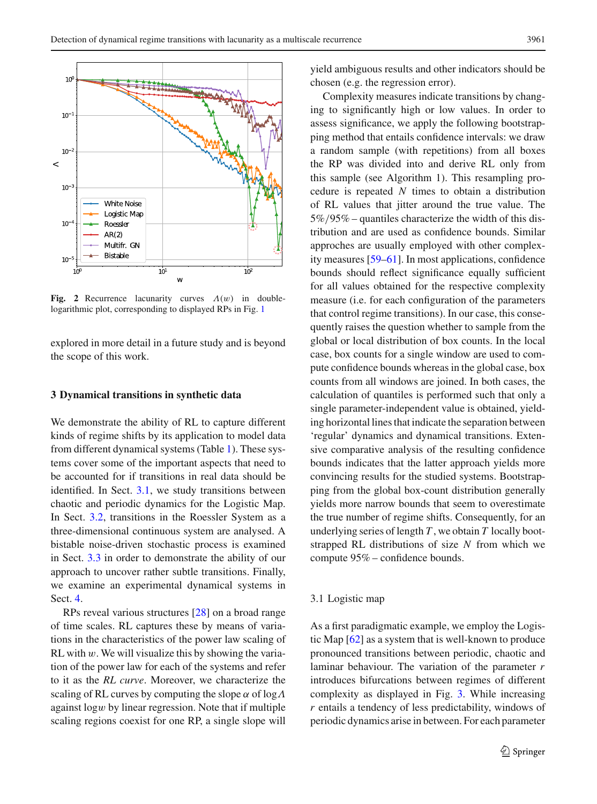

<span id="page-6-1"></span>**Fig. 2** Recurrence lacunarity curves  $\Lambda(w)$  in doublelogarithmic plot, corresponding to displayed RPs in Fig. [1](#page-5-0)

explored in more detail in a future study and is beyond the scope of this work.

#### <span id="page-6-0"></span>**3 Dynamical transitions in synthetic data**

We demonstrate the ability of RL to capture different kinds of regime shifts by its application to model data from different dynamical systems (Table [1\)](#page-7-0). These systems cover some of the important aspects that need to be accounted for if transitions in real data should be identified. In Sect. [3.1,](#page-6-2) we study transitions between chaotic and periodic dynamics for the Logistic Map. In Sect. [3.2,](#page-9-0) transitions in the Roessler System as a three-dimensional continuous system are analysed. A bistable noise-driven stochastic process is examined in Sect. [3.3](#page-10-0) in order to demonstrate the ability of our approach to uncover rather subtle transitions. Finally, we examine an experimental dynamical systems in Sect. [4.](#page-11-0)

RPs reveal various structures [\[28](#page-17-0)] on a broad range of time scales. RL captures these by means of variations in the characteristics of the power law scaling of RL with  $w$ . We will visualize this by showing the variation of the power law for each of the systems and refer to it as the *RL curve*. Moreover, we characterize the scaling of RL curves by computing the slope  $\alpha$  of log $\Lambda$ against logw by linear regression. Note that if multiple scaling regions coexist for one RP, a single slope will yield ambiguous results and other indicators should be chosen (e.g. the regression error).

Complexity measures indicate transitions by changing to significantly high or low values. In order to assess significance, we apply the following bootstrapping method that entails confidence intervals: we draw a random sample (with repetitions) from all boxes the RP was divided into and derive RL only from this sample (see Algorithm 1). This resampling procedure is repeated *N* times to obtain a distribution of RL values that jitter around the true value. The 5%/95% – quantiles characterize the width of this distribution and are used as confidence bounds. Similar approches are usually employed with other complexity measures [\[59](#page-17-31)[–61\]](#page-17-32). In most applications, confidence bounds should reflect significance equally sufficient for all values obtained for the respective complexity measure (i.e. for each configuration of the parameters that control regime transitions). In our case, this consequently raises the question whether to sample from the global or local distribution of box counts. In the local case, box counts for a single window are used to compute confidence bounds whereas in the global case, box counts from all windows are joined. In both cases, the calculation of quantiles is performed such that only a single parameter-independent value is obtained, yielding horizontal lines that indicate the separation between 'regular' dynamics and dynamical transitions. Extensive comparative analysis of the resulting confidence bounds indicates that the latter approach yields more convincing results for the studied systems. Bootstrapping from the global box-count distribution generally yields more narrow bounds that seem to overestimate the true number of regime shifts. Consequently, for an underlying series of length *T* , we obtain *T* locally bootstrapped RL distributions of size *N* from which we compute 95% – confidence bounds.

#### <span id="page-6-2"></span>3.1 Logistic map

As a first paradigmatic example, we employ the Logistic Map [\[62](#page-17-33)] as a system that is well-known to produce pronounced transitions between periodic, chaotic and laminar behaviour. The variation of the parameter *r* introduces bifurcations between regimes of different complexity as displayed in Fig. [3.](#page-8-0) While increasing *r* entails a tendency of less predictability, windows of periodic dynamics arise in between. For each parameter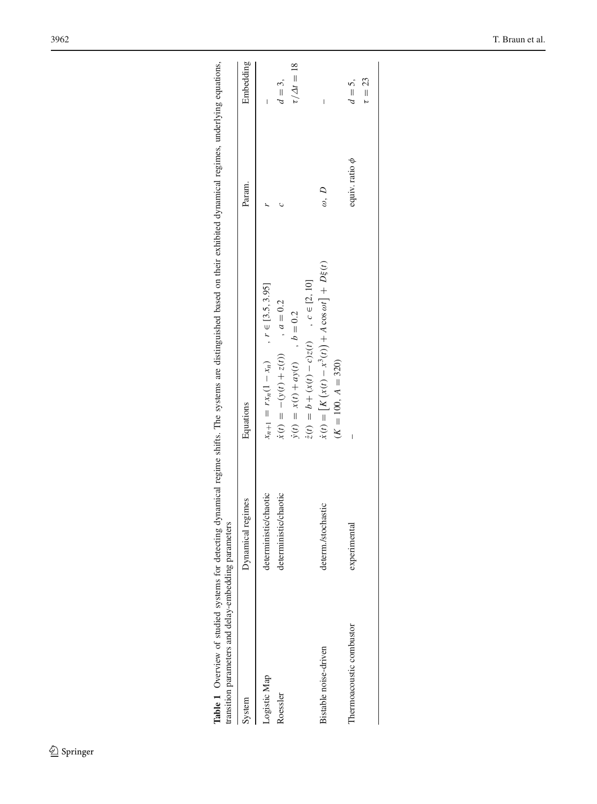<span id="page-7-0"></span>

| transition parameters and delay-embedding parameters |                       | Table 1 Overview of studied systems for detecting dynamical regime shifts. The systems are distinguished based on their exhibited dynamical regimes, underlying equations, |                     |                        |
|------------------------------------------------------|-----------------------|----------------------------------------------------------------------------------------------------------------------------------------------------------------------------|---------------------|------------------------|
| System                                               | Dynamical regimes     | Equations                                                                                                                                                                  | Param.              | Embedding              |
| Logistic Map                                         | deterministic/chaotic | $x_{n+1} = rx_n(1 - x_n)$ , $r \in [3.5, 3.95]$                                                                                                                            |                     |                        |
| Roessler                                             | deterministic/chaotic | $\dot{x}(t) = -(y(t) + z(t))$ , $a = 0.2$                                                                                                                                  |                     | $d=3,$                 |
|                                                      |                       | $\dot{y}(t) = x(t) + ay(t)$ , $b = 0.2$                                                                                                                                    |                     | $\tau/\Delta t = 18$   |
|                                                      |                       | $\dot{z}(t) = b + (x(t) - c)z(t)$ , $c \in [2, 10]$                                                                                                                        |                     |                        |
| Bistable noise-driven                                | determ./stochastic    | $\dot{x}(t) = [K(x(t) - x^3(t))] + A \cos \omega t] + D\xi(t)$<br>$(K = 100, A = 320)$                                                                                     | $\omega, D$         |                        |
| Thermoacoustic combustor                             | mental<br>experu      |                                                                                                                                                                            | equiv. ratio $\phi$ | $\tau = 23$<br>$d=5$ . |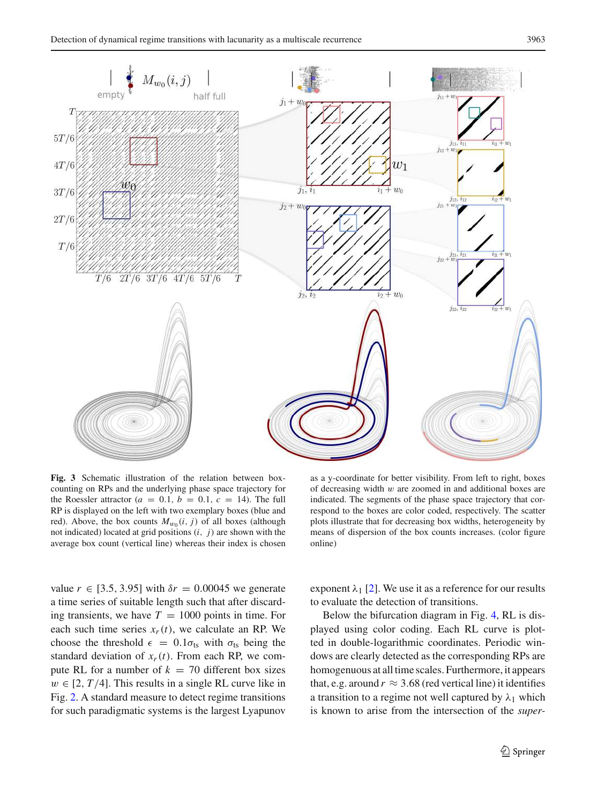

<span id="page-8-0"></span>**Fig. 3** Schematic illustration of the relation between boxcounting on RPs and the underlying phase space trajectory for the Roessler attractor ( $a = 0.1$ ,  $b = 0.1$ ,  $c = 14$ ). The full RP is displayed on the left with two exemplary boxes (blue and red). Above, the box counts  $M_{w_0}(i, j)$  of all boxes (although not indicated) located at grid positions (*i*, *j*) are shown with the average box count (vertical line) whereas their index is chosen

as a y-coordinate for better visibility. From left to right, boxes of decreasing width  $w$  are zoomed in and additional boxes are indicated. The segments of the phase space trajectory that correspond to the boxes are color coded, respectively. The scatter plots illustrate that for decreasing box widths, heterogeneity by means of dispersion of the box counts increases. (color figure online)

value  $r \in [3.5, 3.95]$  with  $\delta r = 0.00045$  we generate a time series of suitable length such that after discarding transients, we have  $T = 1000$  points in time. For each such time series  $x_r(t)$ , we calculate an RP. We choose the threshold  $\epsilon = 0.1\sigma_{ts}$  with  $\sigma_{ts}$  being the standard deviation of  $x_r(t)$ . From each RP, we compute RL for a number of  $k = 70$  different box sizes  $w \in [2, T/4]$ . This results in a single RL curve like in Fig. [2.](#page-6-1) A standard measure to detect regime transitions for such paradigmatic systems is the largest Lyapunov exponent  $\lambda_1$  [\[2](#page-16-15)]. We use it as a reference for our results to evaluate the detection of transitions.

Below the bifurcation diagram in Fig. [4,](#page-9-1) RL is displayed using color coding. Each RL curve is plotted in double-logarithmic coordinates. Periodic windows are clearly detected as the corresponding RPs are homogenuous at all time scales. Furthermore, it appears that, e.g. around  $r \approx 3.68$  (red vertical line) it identifies a transition to a regime not well captured by  $\lambda_1$  which is known to arise from the intersection of the *super-*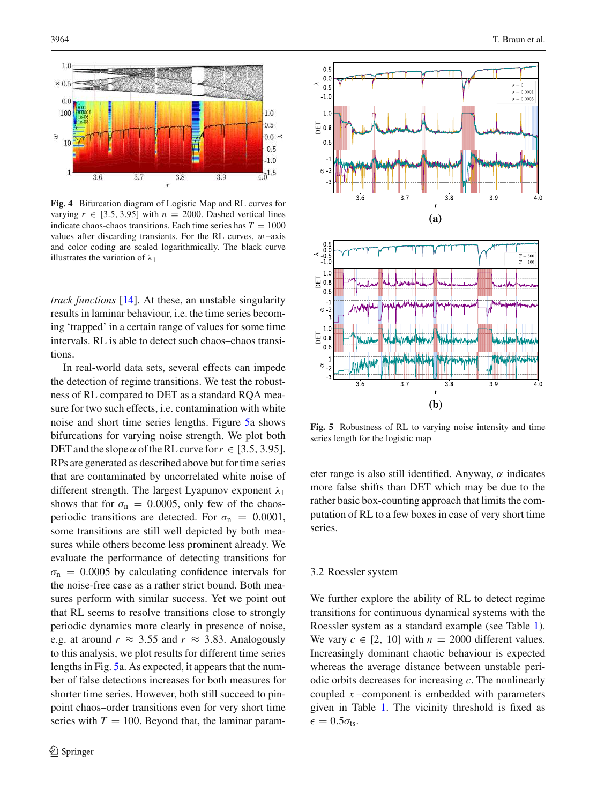

<span id="page-9-1"></span>**Fig. 4** Bifurcation diagram of Logistic Map and RL curves for varying  $r \in [3.5, 3.95]$  with  $n = 2000$ . Dashed vertical lines indicate chaos-chaos transitions. Each time series has  $T = 1000$ values after discarding transients. For the RL curves,  $w$  –axis and color coding are scaled logarithmically. The black curve illustrates the variation of  $\lambda_1$ 

*track functions* [\[14\]](#page-16-8). At these, an unstable singularity results in laminar behaviour, i.e. the time series becoming 'trapped' in a certain range of values for some time intervals. RL is able to detect such chaos–chaos transitions.

In real-world data sets, several effects can impede the detection of regime transitions. We test the robustness of RL compared to DET as a standard RQA measure for two such effects, i.e. contamination with white noise and short time series lengths. Figure [5a](#page-9-2) shows bifurcations for varying noise strength. We plot both DET and the slope  $\alpha$  of the RL curve for  $r \in [3.5, 3.95]$ . RPs are generated as described above but for time series that are contaminated by uncorrelated white noise of different strength. The largest Lyapunov exponent  $\lambda_1$ shows that for  $\sigma_{\rm n} = 0.0005$ , only few of the chaosperiodic transitions are detected. For  $\sigma_{\rm n} = 0.0001$ , some transitions are still well depicted by both measures while others become less prominent already. We evaluate the performance of detecting transitions for  $\sigma_{\rm n}$  = 0.0005 by calculating confidence intervals for the noise-free case as a rather strict bound. Both measures perform with similar success. Yet we point out that RL seems to resolve transitions close to strongly periodic dynamics more clearly in presence of noise, e.g. at around  $r \approx 3.55$  and  $r \approx 3.83$ . Analogously to this analysis, we plot results for different time series lengths in Fig. [5a](#page-9-2). As expected, it appears that the number of false detections increases for both measures for shorter time series. However, both still succeed to pinpoint chaos–order transitions even for very short time series with  $T = 100$ . Beyond that, the laminar param-



<span id="page-9-2"></span>**Fig. 5** Robustness of RL to varying noise intensity and time series length for the logistic map

eter range is also still identified. Anyway,  $\alpha$  indicates more false shifts than DET which may be due to the rather basic box-counting approach that limits the computation of RL to a few boxes in case of very short time series.

#### <span id="page-9-0"></span>3.2 Roessler system

We further explore the ability of RL to detect regime transitions for continuous dynamical systems with the Roessler system as a standard example (see Table [1\)](#page-7-0). We vary  $c \in [2, 10]$  with  $n = 2000$  different values. Increasingly dominant chaotic behaviour is expected whereas the average distance between unstable periodic orbits decreases for increasing *c*. The nonlinearly coupled *x* –component is embedded with parameters given in Table [1.](#page-7-0) The vicinity threshold is fixed as  $\epsilon = 0.5\sigma_{\text{ts}}$ .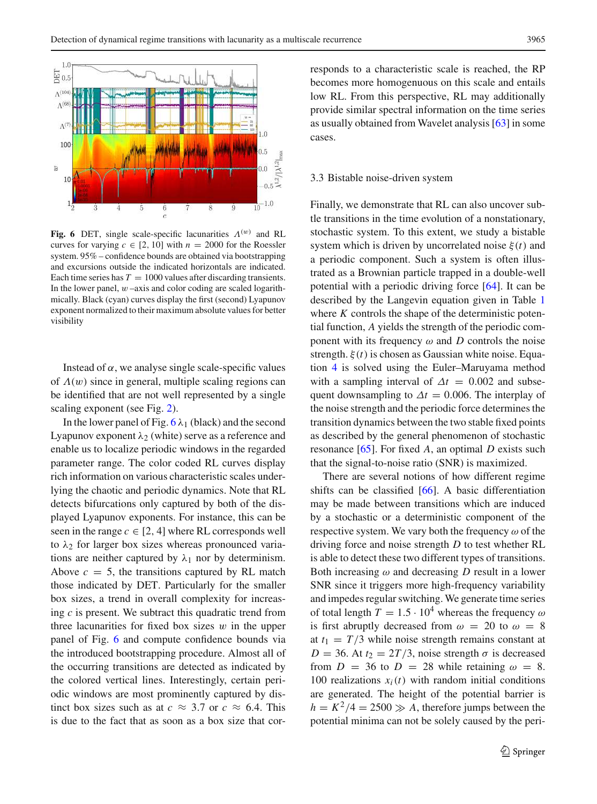

<span id="page-10-1"></span>**Fig. 6** DET, single scale-specific lacunarities  $\Lambda^{(w)}$  and RL curves for varying  $c \in [2, 10]$  with  $n = 2000$  for the Roessler system. 95% – confidence bounds are obtained via bootstrapping and excursions outside the indicated horizontals are indicated. Each time series has  $T = 1000$  values after discarding transients. In the lower panel,  $w$  –axis and color coding are scaled logarithmically. Black (cyan) curves display the first (second) Lyapunov exponent normalized to their maximum absolute values for better visibility

Instead of  $\alpha$ , we analyse single scale-specific values of  $\Lambda(w)$  since in general, multiple scaling regions can be identified that are not well represented by a single scaling exponent (see Fig. [2\)](#page-6-1).

In the lower panel of Fig.  $6 \lambda_1$  $6 \lambda_1$  (black) and the second Lyapunov exponent  $\lambda_2$  (white) serve as a reference and enable us to localize periodic windows in the regarded parameter range. The color coded RL curves display rich information on various characteristic scales underlying the chaotic and periodic dynamics. Note that RL detects bifurcations only captured by both of the displayed Lyapunov exponents. For instance, this can be seen in the range  $c \in [2, 4]$  where RL corresponds well to  $\lambda_2$  for larger box sizes whereas pronounced variations are neither captured by  $\lambda_1$  nor by determinism. Above  $c = 5$ , the transitions captured by RL match those indicated by DET. Particularly for the smaller box sizes, a trend in overall complexity for increasing *c* is present. We subtract this quadratic trend from three lacunarities for fixed box sizes  $w$  in the upper panel of Fig. [6](#page-10-1) and compute confidence bounds via the introduced bootstrapping procedure. Almost all of the occurring transitions are detected as indicated by the colored vertical lines. Interestingly, certain periodic windows are most prominently captured by distinct box sizes such as at  $c \approx 3.7$  or  $c \approx 6.4$ . This is due to the fact that as soon as a box size that corresponds to a characteristic scale is reached, the RP becomes more homogenuous on this scale and entails low RL. From this perspective, RL may additionally provide similar spectral information on the time series as usually obtained from Wavelet analysis [\[63](#page-17-34)] in some cases.

#### <span id="page-10-0"></span>3.3 Bistable noise-driven system

Finally, we demonstrate that RL can also uncover subtle transitions in the time evolution of a nonstationary, stochastic system. To this extent, we study a bistable system which is driven by uncorrelated noise ξ(*t*) and a periodic component. Such a system is often illustrated as a Brownian particle trapped in a double-well potential with a periodic driving force [\[64](#page-17-35)]. It can be described by the Langevin equation given in Table [1](#page-7-0) where *K* controls the shape of the deterministic potential function, *A* yields the strength of the periodic component with its frequency  $\omega$  and *D* controls the noise strength. ξ(*t*) is chosen as Gaussian white noise. Equation [4](#page-3-1) is solved using the Euler–Maruyama method with a sampling interval of  $\Delta t = 0.002$  and subsequent downsampling to  $\Delta t = 0.006$ . The interplay of the noise strength and the periodic force determines the transition dynamics between the two stable fixed points as described by the general phenomenon of stochastic resonance [\[65](#page-17-36)]. For fixed *A*, an optimal *D* exists such that the signal-to-noise ratio (SNR) is maximized.

There are several notions of how different regime shifts can be classified [\[66\]](#page-17-37). A basic differentiation may be made between transitions which are induced by a stochastic or a deterministic component of the respective system. We vary both the frequency  $\omega$  of the driving force and noise strength *D* to test whether RL is able to detect these two different types of transitions. Both increasing  $\omega$  and decreasing *D* result in a lower SNR since it triggers more high-frequency variability and impedes regular switching. We generate time series of total length  $T = 1.5 \cdot 10^4$  whereas the frequency  $\omega$ is first abruptly decreased from  $\omega = 20$  to  $\omega = 8$ at  $t_1 = T/3$  while noise strength remains constant at  $D = 36$ . At  $t_2 = 2T/3$ , noise strength  $\sigma$  is decreased from  $D = 36$  to  $D = 28$  while retaining  $\omega = 8$ . 100 realizations  $x_i(t)$  with random initial conditions are generated. The height of the potential barrier is  $h = K^2/4 = 2500 \gg A$ , therefore jumps between the potential minima can not be solely caused by the peri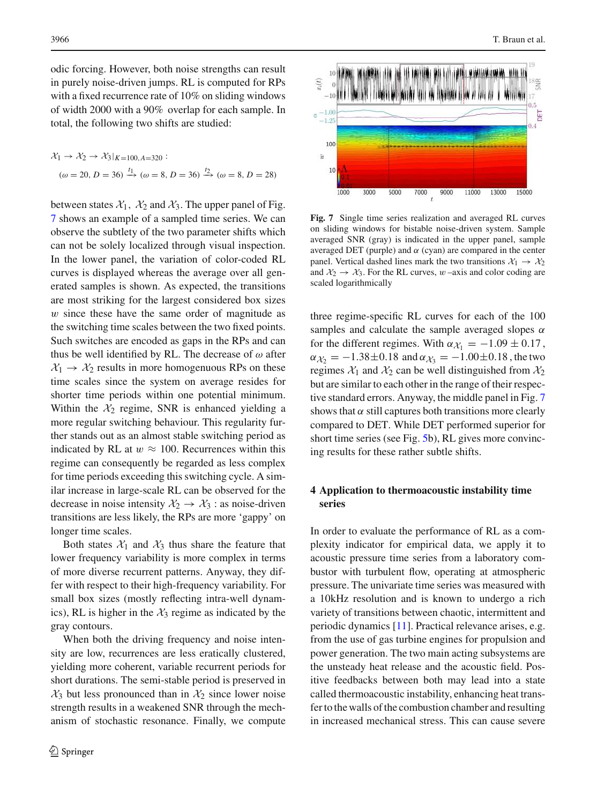odic forcing. However, both noise strengths can result in purely noise-driven jumps. RL is computed for RPs with a fixed recurrence rate of 10% on sliding windows of width 2000 with a 90% overlap for each sample. In total, the following two shifts are studied:

$$
\mathcal{X}_1 \to \mathcal{X}_2 \to \mathcal{X}_3|_{K=100, A=320} :
$$
  

$$
(\omega = 20, D = 36) \xrightarrow{t_1} (\omega = 8, D = 36) \xrightarrow{t_2} (\omega = 8, D = 28)
$$

between states  $X_1$ ,  $X_2$  and  $X_3$ . The upper panel of Fig. [7](#page-11-1) shows an example of a sampled time series. We can observe the subtlety of the two parameter shifts which can not be solely localized through visual inspection. In the lower panel, the variation of color-coded RL curves is displayed whereas the average over all generated samples is shown. As expected, the transitions are most striking for the largest considered box sizes w since these have the same order of magnitude as the switching time scales between the two fixed points. Such switches are encoded as gaps in the RPs and can thus be well identified by RL. The decrease of  $\omega$  after  $X_1 \rightarrow X_2$  results in more homogenuous RPs on these time scales since the system on average resides for shorter time periods within one potential minimum. Within the  $\mathcal{X}_2$  regime, SNR is enhanced yielding a more regular switching behaviour. This regularity further stands out as an almost stable switching period as indicated by RL at  $w \approx 100$ . Recurrences within this regime can consequently be regarded as less complex for time periods exceeding this switching cycle. A similar increase in large-scale RL can be observed for the decrease in noise intensity  $\mathcal{X}_2 \rightarrow \mathcal{X}_3$ : as noise-driven transitions are less likely, the RPs are more 'gappy' on longer time scales.

Both states  $\mathcal{X}_1$  and  $\mathcal{X}_3$  thus share the feature that lower frequency variability is more complex in terms of more diverse recurrent patterns. Anyway, they differ with respect to their high-frequency variability. For small box sizes (mostly reflecting intra-well dynamics), RL is higher in the  $\mathcal{X}_3$  regime as indicated by the gray contours.

When both the driving frequency and noise intensity are low, recurrences are less eratically clustered, yielding more coherent, variable recurrent periods for short durations. The semi-stable period is preserved in  $\mathcal{X}_3$  but less pronounced than in  $\mathcal{X}_2$  since lower noise strength results in a weakened SNR through the mechanism of stochastic resonance. Finally, we compute



<span id="page-11-1"></span>**Fig. 7** Single time series realization and averaged RL curves on sliding windows for bistable noise-driven system. Sample averaged SNR (gray) is indicated in the upper panel, sample averaged DET (purple) and  $α$  (cyan) are compared in the center panel. Vertical dashed lines mark the two transitions  $\mathcal{X}_1 \rightarrow \mathcal{X}_2$ and  $\mathcal{X}_2 \rightarrow \mathcal{X}_3$ . For the RL curves, w-axis and color coding are scaled logarithmically

three regime-specific RL curves for each of the 100 samples and calculate the sample averaged slopes  $\alpha$ for the different regimes. With  $\alpha_{\mathcal{X}_1} = -1.09 \pm 0.17$ ,  $\alpha_{\chi_2} = -1.38 \pm 0.18$  and  $\alpha_{\chi_3} = -1.00 \pm 0.18$ , the two regimes  $\mathcal{X}_1$  and  $\mathcal{X}_2$  can be well distinguished from  $\mathcal{X}_2$ but are similar to each other in the range of their respective standard errors. Anyway, the middle panel in Fig. [7](#page-11-1) shows that  $\alpha$  still captures both transitions more clearly compared to DET. While DET performed superior for short time series (see Fig. [5b](#page-9-2)), RL gives more convincing results for these rather subtle shifts.

# <span id="page-11-0"></span>**4 Application to thermoacoustic instability time series**

In order to evaluate the performance of RL as a complexity indicator for empirical data, we apply it to acoustic pressure time series from a laboratory combustor with turbulent flow, operating at atmospheric pressure. The univariate time series was measured with a 10kHz resolution and is known to undergo a rich variety of transitions between chaotic, intermittent and periodic dynamics [\[11](#page-16-4)]. Practical relevance arises, e.g. from the use of gas turbine engines for propulsion and power generation. The two main acting subsystems are the unsteady heat release and the acoustic field. Positive feedbacks between both may lead into a state called thermoacoustic instability, enhancing heat transfer to the walls of the combustion chamber and resulting in increased mechanical stress. This can cause severe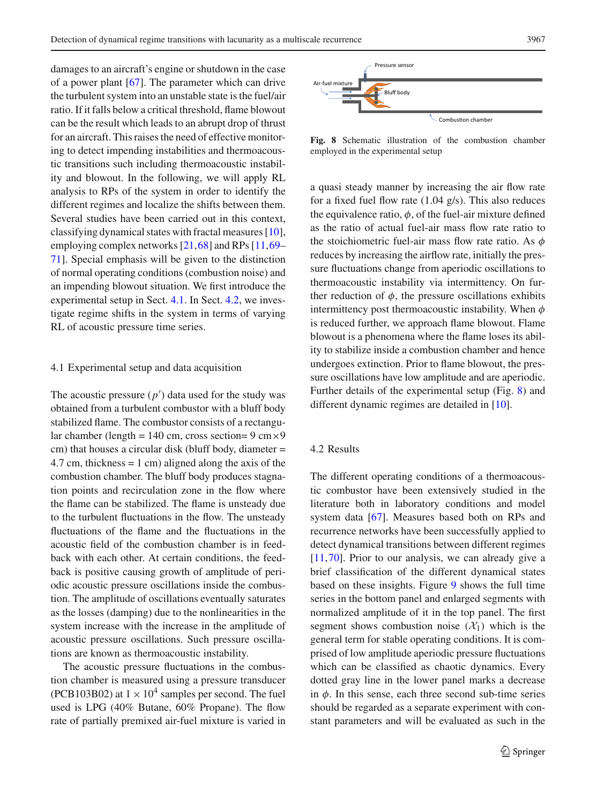damages to an aircraft's engine or shutdown in the case of a power plant [\[67](#page-17-38)]. The parameter which can drive the turbulent system into an unstable state is the fuel/air ratio. If it falls below a critical threshold, flame blowout can be the result which leads to an abrupt drop of thrust for an aircraft. This raises the need of effective monitoring to detect impending instabilities and thermoacoustic transitions such including thermoacoustic instability and blowout. In the following, we will apply RL analysis to RPs of the system in order to identify the different regimes and localize the shifts between them. Several studies have been carried out in this context, classifying dynamical states with fractal measures [\[10](#page-16-23)], employing complex networks [\[21](#page-16-14)[,68](#page-17-39)] and RPs [\[11,](#page-16-4)[69–](#page-18-0) [71](#page-18-1)]. Special emphasis will be given to the distinction of normal operating conditions (combustion noise) and an impending blowout situation. We first introduce the experimental setup in Sect. [4.1.](#page-12-0) In Sect. [4.2,](#page-12-1) we investigate regime shifts in the system in terms of varying RL of acoustic pressure time series.

#### <span id="page-12-0"></span>4.1 Experimental setup and data acquisition

The acoustic pressure  $(p')$  data used for the study was obtained from a turbulent combustor with a bluff body stabilized flame. The combustor consists of a rectangular chamber (length = 140 cm, cross section=  $9 \text{ cm} \times 9$ cm) that houses a circular disk (bluff body, diameter = 4.7 cm, thickness  $= 1$  cm) aligned along the axis of the combustion chamber. The bluff body produces stagnation points and recirculation zone in the flow where the flame can be stabilized. The flame is unsteady due to the turbulent fluctuations in the flow. The unsteady fluctuations of the flame and the fluctuations in the acoustic field of the combustion chamber is in feedback with each other. At certain conditions, the feedback is positive causing growth of amplitude of periodic acoustic pressure oscillations inside the combustion. The amplitude of oscillations eventually saturates as the losses (damping) due to the nonlinearities in the system increase with the increase in the amplitude of acoustic pressure oscillations. Such pressure oscillations are known as thermoacoustic instability.

The acoustic pressure fluctuations in the combustion chamber is measured using a pressure transducer (PCB103B02) at  $1 \times 10^4$  samples per second. The fuel used is LPG (40% Butane, 60% Propane). The flow rate of partially premixed air-fuel mixture is varied in



<span id="page-12-2"></span>**Fig. 8** Schematic illustration of the combustion chamber employed in the experimental setup

a quasi steady manner by increasing the air flow rate for a fixed fuel flow rate (1.04 g/s). This also reduces the equivalence ratio,  $\phi$ , of the fuel-air mixture defined as the ratio of actual fuel-air mass flow rate ratio to the stoichiometric fuel-air mass flow rate ratio. As  $\phi$ reduces by increasing the airflow rate, initially the pressure fluctuations change from aperiodic oscillations to thermoacoustic instability via intermittency. On further reduction of  $\phi$ , the pressure oscillations exhibits intermittency post thermoacoustic instability. When  $\phi$ is reduced further, we approach flame blowout. Flame blowout is a phenomena where the flame loses its ability to stabilize inside a combustion chamber and hence undergoes extinction. Prior to flame blowout, the pressure oscillations have low amplitude and are aperiodic. Further details of the experimental setup (Fig. [8\)](#page-12-2) and different dynamic regimes are detailed in [\[10](#page-16-23)].

### <span id="page-12-1"></span>4.2 Results

The different operating conditions of a thermoacoustic combustor have been extensively studied in the literature both in laboratory conditions and model system data [\[67](#page-17-38)]. Measures based both on RPs and recurrence networks have been successfully applied to detect dynamical transitions between different regimes [\[11](#page-16-4)[,70](#page-18-2)]. Prior to our analysis, we can already give a brief classification of the different dynamical states based on these insights. Figure [9](#page-13-0) shows the full time series in the bottom panel and enlarged segments with normalized amplitude of it in the top panel. The first segment shows combustion noise  $(\mathcal{X}_1)$  which is the general term for stable operating conditions. It is comprised of low amplitude aperiodic pressure fluctuations which can be classified as chaotic dynamics. Every dotted gray line in the lower panel marks a decrease in  $\phi$ . In this sense, each three second sub-time series should be regarded as a separate experiment with constant parameters and will be evaluated as such in the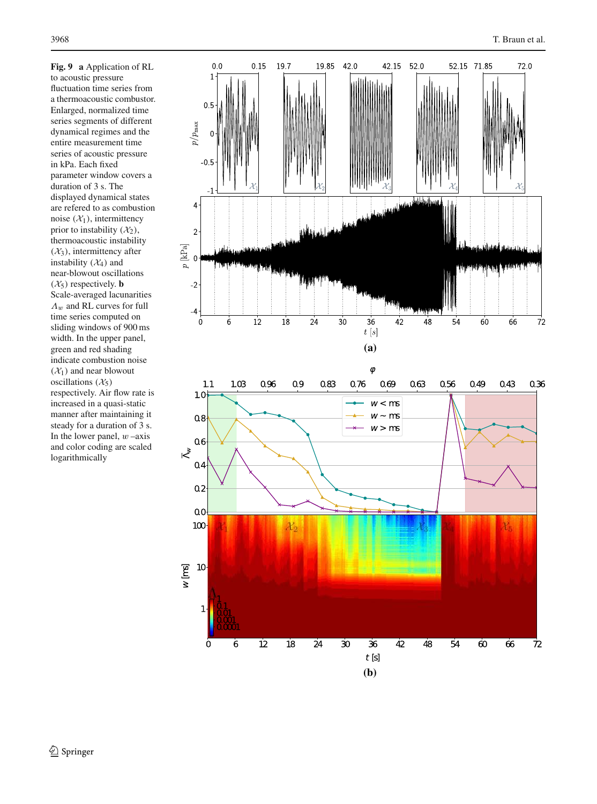<span id="page-13-0"></span>**Fig. 9 a** Application of RL to acoustic pressure fluctuation time series from a thermoacoustic combustor. Enlarged, normalized time series segments of different dynamical regimes and the entire measurement time series of acoustic pressure in kPa. Each fixed parameter window covers a duration of 3 s. The displayed dynamical states are refered to as combustion noise  $(\mathcal{X}_1)$ , intermittency prior to instability  $(\mathcal{X}_2)$ , thermoacoustic instability  $(\mathcal{X}_3)$ , intermittency after instability  $(X_4)$  and near-blowout oscillations  $(\mathcal{X}_5)$  respectively. **b** Scale-averaged lacunarities  $\Lambda_w$  and RL curves for full time series computed on sliding windows of 900 ms width. In the upper panel, green and red shading indicate combustion noise  $(\mathcal{X}_1)$  and near blowout oscillations  $(\mathcal{X}_5)$ respectively. Air flow rate is increased in a quasi-static manner after maintaining it steady for a duration of 3 s. In the lower panel,  $w$  –axis and color coding are scaled logarithmically

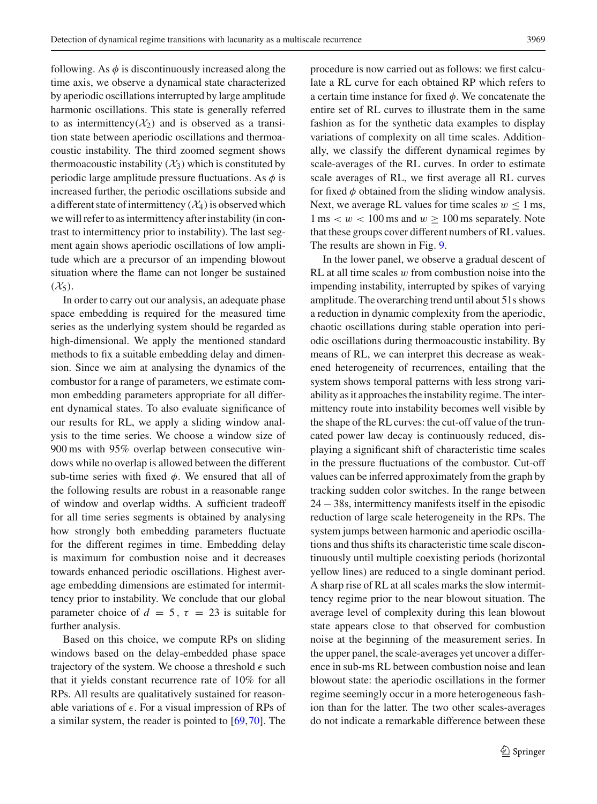following. As  $\phi$  is discontinuously increased along the time axis, we observe a dynamical state characterized by aperiodic oscillations interrupted by large amplitude harmonic oscillations. This state is generally referred to as intermittency( $\mathcal{X}_2$ ) and is observed as a transition state between aperiodic oscillations and thermoacoustic instability. The third zoomed segment shows thermoacoustic instability  $(\mathcal{X}_3)$  which is constituted by periodic large amplitude pressure fluctuations. As  $\phi$  is increased further, the periodic oscillations subside and a different state of intermittency  $(\mathcal{X}_4)$  is observed which we will refer to as intermittency after instability (in contrast to intermittency prior to instability). The last segment again shows aperiodic oscillations of low amplitude which are a precursor of an impending blowout situation where the flame can not longer be sustained  $(\mathcal{X}_5)$ .

In order to carry out our analysis, an adequate phase space embedding is required for the measured time series as the underlying system should be regarded as high-dimensional. We apply the mentioned standard methods to fix a suitable embedding delay and dimension. Since we aim at analysing the dynamics of the combustor for a range of parameters, we estimate common embedding parameters appropriate for all different dynamical states. To also evaluate significance of our results for RL, we apply a sliding window analysis to the time series. We choose a window size of 900 ms with 95% overlap between consecutive windows while no overlap is allowed between the different sub-time series with fixed  $\phi$ . We ensured that all of the following results are robust in a reasonable range of window and overlap widths. A sufficient tradeoff for all time series segments is obtained by analysing how strongly both embedding parameters fluctuate for the different regimes in time. Embedding delay is maximum for combustion noise and it decreases towards enhanced periodic oscillations. Highest average embedding dimensions are estimated for intermittency prior to instability. We conclude that our global parameter choice of  $d = 5$ ,  $\tau = 23$  is suitable for further analysis.

Based on this choice, we compute RPs on sliding windows based on the delay-embedded phase space trajectory of the system. We choose a threshold  $\epsilon$  such that it yields constant recurrence rate of 10% for all RPs. All results are qualitatively sustained for reasonable variations of  $\epsilon$ . For a visual impression of RPs of a similar system, the reader is pointed to [\[69,](#page-18-0)[70\]](#page-18-2). The procedure is now carried out as follows: we first calculate a RL curve for each obtained RP which refers to a certain time instance for fixed  $\phi$ . We concatenate the entire set of RL curves to illustrate them in the same fashion as for the synthetic data examples to display variations of complexity on all time scales. Additionally, we classify the different dynamical regimes by scale-averages of the RL curves. In order to estimate scale averages of RL, we first average all RL curves for fixed  $\phi$  obtained from the sliding window analysis. Next, we average RL values for time scales  $w \le 1$  ms,  $1 \text{ ms} < w < 100 \text{ ms}$  and  $w \ge 100 \text{ ms}$  separately. Note that these groups cover different numbers of RL values. The results are shown in Fig. [9.](#page-13-0)

In the lower panel, we observe a gradual descent of RL at all time scales  $w$  from combustion noise into the impending instability, interrupted by spikes of varying amplitude. The overarching trend until about 51s shows a reduction in dynamic complexity from the aperiodic, chaotic oscillations during stable operation into periodic oscillations during thermoacoustic instability. By means of RL, we can interpret this decrease as weakened heterogeneity of recurrences, entailing that the system shows temporal patterns with less strong variability as it approaches the instability regime. The intermittency route into instability becomes well visible by the shape of the RL curves: the cut-off value of the truncated power law decay is continuously reduced, displaying a significant shift of characteristic time scales in the pressure fluctuations of the combustor. Cut-off values can be inferred approximately from the graph by tracking sudden color switches. In the range between 24 − 38s, intermittency manifests itself in the episodic reduction of large scale heterogeneity in the RPs. The system jumps between harmonic and aperiodic oscillations and thus shifts its characteristic time scale discontinuously until multiple coexisting periods (horizontal yellow lines) are reduced to a single dominant period. A sharp rise of RL at all scales marks the slow intermittency regime prior to the near blowout situation. The average level of complexity during this lean blowout state appears close to that observed for combustion noise at the beginning of the measurement series. In the upper panel, the scale-averages yet uncover a difference in sub-ms RL between combustion noise and lean blowout state: the aperiodic oscillations in the former regime seemingly occur in a more heterogeneous fashion than for the latter. The two other scales-averages do not indicate a remarkable difference between these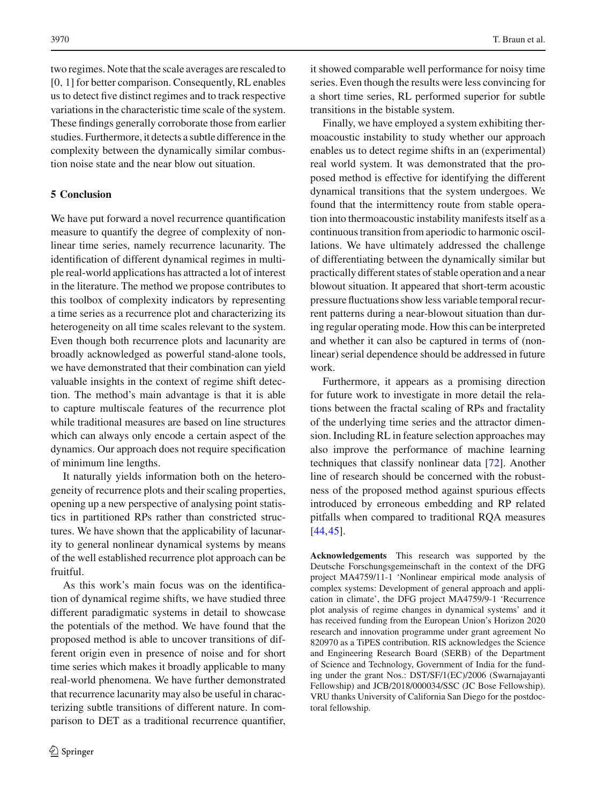two regimes. Note that the scale averages are rescaled to [0, 1] for better comparison. Consequently, RL enables us to detect five distinct regimes and to track respective variations in the characteristic time scale of the system. These findings generally corroborate those from earlier studies. Furthermore, it detects a subtle difference in the complexity between the dynamically similar combustion noise state and the near blow out situation.

# <span id="page-15-0"></span>**5 Conclusion**

We have put forward a novel recurrence quantification measure to quantify the degree of complexity of nonlinear time series, namely recurrence lacunarity. The identification of different dynamical regimes in multiple real-world applications has attracted a lot of interest in the literature. The method we propose contributes to this toolbox of complexity indicators by representing a time series as a recurrence plot and characterizing its heterogeneity on all time scales relevant to the system. Even though both recurrence plots and lacunarity are broadly acknowledged as powerful stand-alone tools, we have demonstrated that their combination can yield valuable insights in the context of regime shift detection. The method's main advantage is that it is able to capture multiscale features of the recurrence plot while traditional measures are based on line structures which can always only encode a certain aspect of the dynamics. Our approach does not require specification of minimum line lengths.

It naturally yields information both on the heterogeneity of recurrence plots and their scaling properties, opening up a new perspective of analysing point statistics in partitioned RPs rather than constricted structures. We have shown that the applicability of lacunarity to general nonlinear dynamical systems by means of the well established recurrence plot approach can be fruitful.

As this work's main focus was on the identification of dynamical regime shifts, we have studied three different paradigmatic systems in detail to showcase the potentials of the method. We have found that the proposed method is able to uncover transitions of different origin even in presence of noise and for short time series which makes it broadly applicable to many real-world phenomena. We have further demonstrated that recurrence lacunarity may also be useful in characterizing subtle transitions of different nature. In comparison to DET as a traditional recurrence quantifier, it showed comparable well performance for noisy time series. Even though the results were less convincing for a short time series, RL performed superior for subtle transitions in the bistable system.

Finally, we have employed a system exhibiting thermoacoustic instability to study whether our approach enables us to detect regime shifts in an (experimental) real world system. It was demonstrated that the proposed method is effective for identifying the different dynamical transitions that the system undergoes. We found that the intermittency route from stable operation into thermoacoustic instability manifests itself as a continuous transition from aperiodic to harmonic oscillations. We have ultimately addressed the challenge of differentiating between the dynamically similar but practically different states of stable operation and a near blowout situation. It appeared that short-term acoustic pressure fluctuations show less variable temporal recurrent patterns during a near-blowout situation than during regular operating mode. How this can be interpreted and whether it can also be captured in terms of (nonlinear) serial dependence should be addressed in future work.

Furthermore, it appears as a promising direction for future work to investigate in more detail the relations between the fractal scaling of RPs and fractality of the underlying time series and the attractor dimension. Including RL in feature selection approaches may also improve the performance of machine learning techniques that classify nonlinear data [\[72\]](#page-18-3). Another line of research should be concerned with the robustness of the proposed method against spurious effects introduced by erroneous embedding and RP related pitfalls when compared to traditional RQA measures [\[44](#page-17-16)[,45](#page-17-17)].

**Acknowledgements** This research was supported by the Deutsche Forschungsgemeinschaft in the context of the DFG project MA4759/11-1 'Nonlinear empirical mode analysis of complex systems: Development of general approach and application in climate', the DFG project MA4759/9-1 'Recurrence plot analysis of regime changes in dynamical systems' and it has received funding from the European Union's Horizon 2020 research and innovation programme under grant agreement No 820970 as a TiPES contribution. RIS acknowledges the Science and Engineering Research Board (SERB) of the Department of Science and Technology, Government of India for the funding under the grant Nos.: DST/SF/1(EC)/2006 (Swarnajayanti Fellowship) and JCB/2018/000034/SSC (JC Bose Fellowship). VRU thanks University of California San Diego for the postdoctoral fellowship.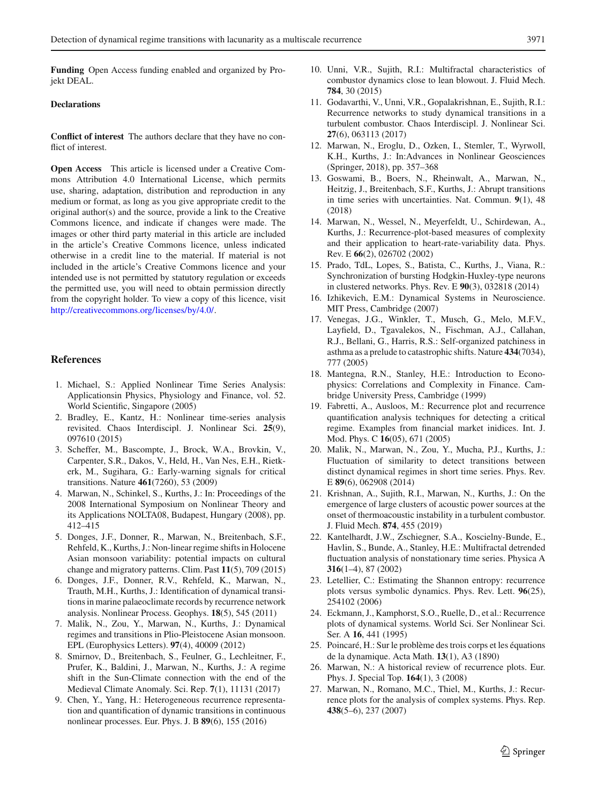**Funding** Open Access funding enabled and organized by Projekt DEAL.

#### **Declarations**

**Conflict of interest** The authors declare that they have no conflict of interest.

**Open Access** This article is licensed under a Creative Commons Attribution 4.0 International License, which permits use, sharing, adaptation, distribution and reproduction in any medium or format, as long as you give appropriate credit to the original author(s) and the source, provide a link to the Creative Commons licence, and indicate if changes were made. The images or other third party material in this article are included in the article's Creative Commons licence, unless indicated otherwise in a credit line to the material. If material is not included in the article's Creative Commons licence and your intended use is not permitted by statutory regulation or exceeds the permitted use, you will need to obtain permission directly from the copyright holder. To view a copy of this licence, visit [http://creativecommons.org/licenses/by/4.0/.](http://creativecommons.org/licenses/by/4.0/)

### **References**

- <span id="page-16-0"></span>1. Michael, S.: Applied Nonlinear Time Series Analysis: Applicationsin Physics, Physiology and Finance, vol. 52. World Scientific, Singapore (2005)
- <span id="page-16-15"></span>2. Bradley, E., Kantz, H.: Nonlinear time-series analysis revisited. Chaos Interdiscipl. J. Nonlinear Sci. **25**(9), 097610 (2015)
- <span id="page-16-1"></span>3. Scheffer, M., Bascompte, J., Brock, W.A., Brovkin, V., Carpenter, S.R., Dakos, V., Held, H., Van Nes, E.H., Rietkerk, M., Sugihara, G.: Early-warning signals for critical transitions. Nature **461**(7260), 53 (2009)
- <span id="page-16-2"></span>4. Marwan, N., Schinkel, S., Kurths, J.: In: Proceedings of the 2008 International Symposium on Nonlinear Theory and its Applications NOLTA08, Budapest, Hungary (2008), pp. 412–415
- <span id="page-16-5"></span>5. Donges, J.F., Donner, R., Marwan, N., Breitenbach, S.F., Rehfeld, K., Kurths, J.: Non-linear regime shifts in Holocene Asian monsoon variability: potential impacts on cultural change and migratory patterns. Clim. Past **11**(5), 709 (2015)
- 6. Donges, J.F., Donner, R.V., Rehfeld, K., Marwan, N., Trauth, M.H., Kurths, J.: Identification of dynamical transitions in marine palaeoclimate records by recurrence network analysis. Nonlinear Process. Geophys. **18**(5), 545 (2011)
- <span id="page-16-3"></span>7. Malik, N., Zou, Y., Marwan, N., Kurths, J.: Dynamical regimes and transitions in Plio-Pleistocene Asian monsoon. EPL (Europhysics Letters). **97**(4), 40009 (2012)
- 8. Smirnov, D., Breitenbach, S., Feulner, G., Lechleitner, F., Prufer, K., Baldini, J., Marwan, N., Kurths, J.: A regime shift in the Sun-Climate connection with the end of the Medieval Climate Anomaly. Sci. Rep. **7**(1), 11131 (2017)
- <span id="page-16-22"></span>9. Chen, Y., Yang, H.: Heterogeneous recurrence representation and quantification of dynamic transitions in continuous nonlinear processes. Eur. Phys. J. B **89**(6), 155 (2016)
- <span id="page-16-23"></span>10. Unni, V.R., Sujith, R.I.: Multifractal characteristics of combustor dynamics close to lean blowout. J. Fluid Mech. **784**, 30 (2015)
- <span id="page-16-4"></span>11. Godavarthi, V., Unni, V.R., Gopalakrishnan, E., Sujith, R.I.: Recurrence networks to study dynamical transitions in a turbulent combustor. Chaos Interdiscipl. J. Nonlinear Sci. **27**(6), 063113 (2017)
- <span id="page-16-6"></span>12. Marwan, N., Eroglu, D., Ozken, I., Stemler, T., Wyrwoll, K.H., Kurths, J.: In:Advances in Nonlinear Geosciences (Springer, 2018), pp. 357–368
- <span id="page-16-7"></span>13. Goswami, B., Boers, N., Rheinwalt, A., Marwan, N., Heitzig, J., Breitenbach, S.F., Kurths, J.: Abrupt transitions in time series with uncertainties. Nat. Commun. **9**(1), 48 (2018)
- <span id="page-16-8"></span>14. Marwan, N., Wessel, N., Meyerfeldt, U., Schirdewan, A., Kurths, J.: Recurrence-plot-based measures of complexity and their application to heart-rate-variability data. Phys. Rev. E **66**(2), 026702 (2002)
- <span id="page-16-9"></span>15. Prado, TdL, Lopes, S., Batista, C., Kurths, J., Viana, R.: Synchronization of bursting Hodgkin-Huxley-type neurons in clustered networks. Phys. Rev. E **90**(3), 032818 (2014)
- <span id="page-16-10"></span>16. Izhikevich, E.M.: Dynamical Systems in Neuroscience. MIT Press, Cambridge (2007)
- <span id="page-16-11"></span>17. Venegas, J.G., Winkler, T., Musch, G., Melo, M.F.V., Layfield, D., Tgavalekos, N., Fischman, A.J., Callahan, R.J., Bellani, G., Harris, R.S.: Self-organized patchiness in asthma as a prelude to catastrophic shifts. Nature **434**(7034), 777 (2005)
- <span id="page-16-12"></span>18. Mantegna, R.N., Stanley, H.E.: Introduction to Econophysics: Correlations and Complexity in Finance. Cambridge University Press, Cambridge (1999)
- 19. Fabretti, A., Ausloos, M.: Recurrence plot and recurrence quantification analysis techniques for detecting a critical regime. Examples from financial market inidices. Int. J. Mod. Phys. C **16**(05), 671 (2005)
- <span id="page-16-13"></span>20. Malik, N., Marwan, N., Zou, Y., Mucha, P.J., Kurths, J.: Fluctuation of similarity to detect transitions between distinct dynamical regimes in short time series. Phys. Rev. E **89**(6), 062908 (2014)
- <span id="page-16-14"></span>21. Krishnan, A., Sujith, R.I., Marwan, N., Kurths, J.: On the emergence of large clusters of acoustic power sources at the onset of thermoacoustic instability in a turbulent combustor. J. Fluid Mech. **874**, 455 (2019)
- <span id="page-16-16"></span>22. Kantelhardt, J.W., Zschiegner, S.A., Koscielny-Bunde, E., Havlin, S., Bunde, A., Stanley, H.E.: Multifractal detrended fluctuation analysis of nonstationary time series. Physica A **316**(1–4), 87 (2002)
- <span id="page-16-17"></span>23. Letellier, C.: Estimating the Shannon entropy: recurrence plots versus symbolic dynamics. Phys. Rev. Lett. **96**(25), 254102 (2006)
- <span id="page-16-18"></span>24. Eckmann, J., Kamphorst, S.O., Ruelle, D., et al.: Recurrence plots of dynamical systems. World Sci. Ser Nonlinear Sci. Ser. A **16**, 441 (1995)
- <span id="page-16-19"></span>25. Poincaré, H.: Sur le problème des trois corps et les équations de la dynamique. Acta Math. **13**(1), A3 (1890)
- <span id="page-16-20"></span>26. Marwan, N.: A historical review of recurrence plots. Eur. Phys. J. Special Top. **164**(1), 3 (2008)
- <span id="page-16-21"></span>27. Marwan, N., Romano, M.C., Thiel, M., Kurths, J.: Recurrence plots for the analysis of complex systems. Phys. Rep. **438**(5–6), 237 (2007)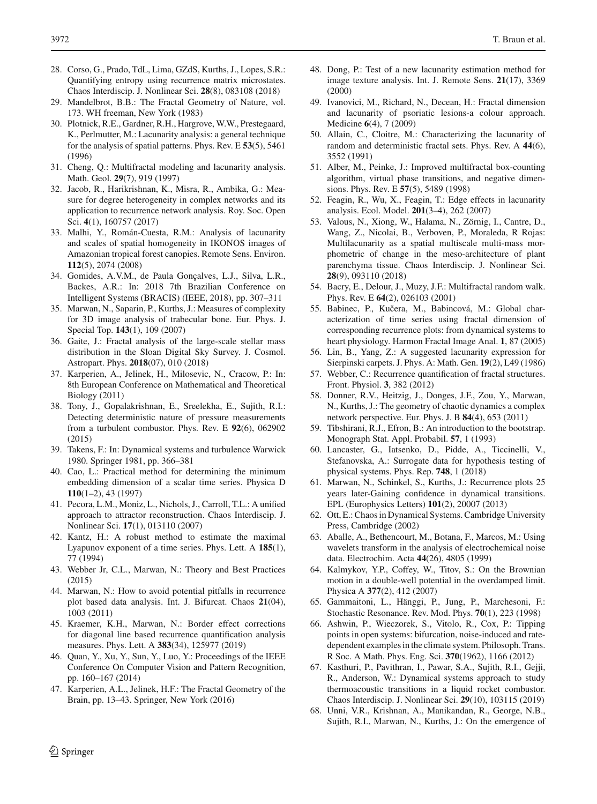- <span id="page-17-0"></span>28. Corso, G., Prado, TdL, Lima, GZdS, Kurths, J., Lopes, S.R.: Quantifying entropy using recurrence matrix microstates. Chaos Interdiscip. J. Nonlinear Sci. **28**(8), 083108 (2018)
- <span id="page-17-1"></span>29. Mandelbrot, B.B.: The Fractal Geometry of Nature, vol. 173. WH freeman, New York (1983)
- <span id="page-17-2"></span>30. Plotnick, R.E., Gardner, R.H., Hargrove, W.W., Prestegaard, K., Perlmutter, M.: Lacunarity analysis: a general technique for the analysis of spatial patterns. Phys. Rev. E **53**(5), 5461 (1996)
- <span id="page-17-3"></span>31. Cheng, Q.: Multifractal modeling and lacunarity analysis. Math. Geol. **29**(7), 919 (1997)
- <span id="page-17-4"></span>32. Jacob, R., Harikrishnan, K., Misra, R., Ambika, G.: Measure for degree heterogeneity in complex networks and its application to recurrence network analysis. Roy. Soc. Open Sci. **4**(1), 160757 (2017)
- <span id="page-17-5"></span>33. Malhi, Y., Román-Cuesta, R.M.: Analysis of lacunarity and scales of spatial homogeneity in IKONOS images of Amazonian tropical forest canopies. Remote Sens. Environ. **112**(5), 2074 (2008)
- <span id="page-17-6"></span>34. Gomides, A.V.M., de Paula Gonçalves, L.J., Silva, L.R., Backes, A.R.: In: 2018 7th Brazilian Conference on Intelligent Systems (BRACIS) (IEEE, 2018), pp. 307–311
- <span id="page-17-7"></span>35. Marwan, N., Saparin, P., Kurths, J.: Measures of complexity for 3D image analysis of trabecular bone. Eur. Phys. J. Special Top. **143**(1), 109 (2007)
- <span id="page-17-8"></span>36. Gaite, J.: Fractal analysis of the large-scale stellar mass distribution in the Sloan Digital Sky Survey. J. Cosmol. Astropart. Phys. **2018**(07), 010 (2018)
- <span id="page-17-9"></span>37. Karperien, A., Jelinek, H., Milosevic, N., Cracow, P.: In: 8th European Conference on Mathematical and Theoretical Biology (2011)
- <span id="page-17-10"></span>38. Tony, J., Gopalakrishnan, E., Sreelekha, E., Sujith, R.I.: Detecting deterministic nature of pressure measurements from a turbulent combustor. Phys. Rev. E **92**(6), 062902 (2015)
- <span id="page-17-11"></span>39. Takens, F.: In: Dynamical systems and turbulence Warwick 1980. Springer 1981, pp. 366–381
- <span id="page-17-12"></span>40. Cao, L.: Practical method for determining the minimum embedding dimension of a scalar time series. Physica D **110**(1–2), 43 (1997)
- <span id="page-17-13"></span>41. Pecora, L.M., Moniz, L., Nichols, J., Carroll, T.L.: A unified approach to attractor reconstruction. Chaos Interdiscip. J. Nonlinear Sci. **17**(1), 013110 (2007)
- <span id="page-17-14"></span>42. Kantz, H.: A robust method to estimate the maximal Lyapunov exponent of a time series. Phys. Lett. A **185**(1), 77 (1994)
- <span id="page-17-15"></span>43. Webber Jr, C.L., Marwan, N.: Theory and Best Practices (2015)
- <span id="page-17-16"></span>44. Marwan, N.: How to avoid potential pitfalls in recurrence plot based data analysis. Int. J. Bifurcat. Chaos **21**(04), 1003 (2011)
- <span id="page-17-17"></span>45. Kraemer, K.H., Marwan, N.: Border effect corrections for diagonal line based recurrence quantification analysis measures. Phys. Lett. A **383**(34), 125977 (2019)
- <span id="page-17-18"></span>46. Quan, Y., Xu, Y., Sun, Y., Luo, Y.: Proceedings of the IEEE Conference On Computer Vision and Pattern Recognition, pp. 160–167 (2014)
- <span id="page-17-19"></span>47. Karperien, A.L., Jelinek, H.F.: The Fractal Geometry of the Brain, pp. 13–43. Springer, New York (2016)
- <span id="page-17-20"></span>48. Dong, P.: Test of a new lacunarity estimation method for image texture analysis. Int. J. Remote Sens. **21**(17), 3369 (2000)
- <span id="page-17-21"></span>49. Ivanovici, M., Richard, N., Decean, H.: Fractal dimension and lacunarity of psoriatic lesions-a colour approach. Medicine **6**(4), 7 (2009)
- <span id="page-17-22"></span>50. Allain, C., Cloitre, M.: Characterizing the lacunarity of random and deterministic fractal sets. Phys. Rev. A **44**(6), 3552 (1991)
- <span id="page-17-23"></span>51. Alber, M., Peinke, J.: Improved multifractal box-counting algorithm, virtual phase transitions, and negative dimensions. Phys. Rev. E **57**(5), 5489 (1998)
- <span id="page-17-24"></span>52. Feagin, R., Wu, X., Feagin, T.: Edge effects in lacunarity analysis. Ecol. Model. **201**(3–4), 262 (2007)
- <span id="page-17-25"></span>53. Valous, N., Xiong, W., Halama, N., Zörnig, I., Cantre, D., Wang, Z., Nicolai, B., Verboven, P., Moraleda, R Rojas: Multilacunarity as a spatial multiscale multi-mass morphometric of change in the meso-architecture of plant parenchyma tissue. Chaos Interdiscip. J. Nonlinear Sci. **28**(9), 093110 (2018)
- <span id="page-17-26"></span>54. Bacry, E., Delour, J., Muzy, J.F.: Multifractal random walk. Phys. Rev. E **64**(2), 026103 (2001)
- <span id="page-17-27"></span>55. Babinec, P., Kučera, M., Babincová, M.: Global characterization of time series using fractal dimension of corresponding recurrence plots: from dynamical systems to heart physiology. Harmon Fractal Image Anal. **1**, 87 (2005)
- <span id="page-17-28"></span>56. Lin, B., Yang, Z.: A suggested lacunarity expression for Sierpinski carpets. J. Phys. A: Math. Gen. **19**(2), L49 (1986)
- <span id="page-17-29"></span>57. Webber, C.: Recurrence quantification of fractal structures. Front. Physiol. **3**, 382 (2012)
- <span id="page-17-30"></span>58. Donner, R.V., Heitzig, J., Donges, J.F., Zou, Y., Marwan, N., Kurths, J.: The geometry of chaotic dynamics a complex network perspective. Eur. Phys. J. B **84**(4), 653 (2011)
- <span id="page-17-31"></span>59. Tibshirani, R.J., Efron, B.: An introduction to the bootstrap. Monograph Stat. Appl. Probabil. **57**, 1 (1993)
- 60. Lancaster, G., Iatsenko, D., Pidde, A., Ticcinelli, V., Stefanovska, A.: Surrogate data for hypothesis testing of physical systems. Phys. Rep. **748**, 1 (2018)
- <span id="page-17-32"></span>61. Marwan, N., Schinkel, S., Kurths, J.: Recurrence plots 25 years later-Gaining confidence in dynamical transitions. EPL (Europhysics Letters) **101**(2), 20007 (2013)
- <span id="page-17-33"></span>62. Ott, E.: Chaos in Dynamical Systems. Cambridge University Press, Cambridge (2002)
- <span id="page-17-34"></span>63. Aballe, A., Bethencourt, M., Botana, F., Marcos, M.: Using wavelets transform in the analysis of electrochemical noise data. Electrochim. Acta **44**(26), 4805 (1999)
- <span id="page-17-35"></span>64. Kalmykov, Y.P., Coffey, W., Titov, S.: On the Brownian motion in a double-well potential in the overdamped limit. Physica A **377**(2), 412 (2007)
- <span id="page-17-36"></span>65. Gammaitoni, L., Hänggi, P., Jung, P., Marchesoni, F.: Stochastic Resonance. Rev. Mod. Phys. **70**(1), 223 (1998)
- <span id="page-17-37"></span>66. Ashwin, P., Wieczorek, S., Vitolo, R., Cox, P.: Tipping points in open systems: bifurcation, noise-induced and ratedependent examples in the climate system. Philosoph. Trans. R Soc. A Math. Phys. Eng. Sci. **370**(1962), 1166 (2012)
- <span id="page-17-38"></span>67. Kasthuri, P., Pavithran, I., Pawar, S.A., Sujith, R.I., Gejji, R., Anderson, W.: Dynamical systems approach to study thermoacoustic transitions in a liquid rocket combustor. Chaos Interdiscip. J. Nonlinear Sci. **29**(10), 103115 (2019)
- <span id="page-17-39"></span>68. Unni, V.R., Krishnan, A., Manikandan, R., George, N.B., Sujith, R.I., Marwan, N., Kurths, J.: On the emergence of